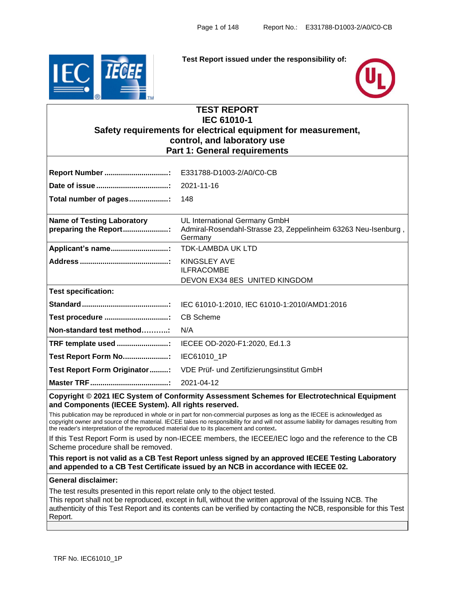

**Test Report issued under the responsibility of:**



# **TEST REPORT IEC 61010-1 Safety requirements for electrical equipment for measurement, control, and laboratory use Part 1: General requirements**

| <b>Report Number </b> :                                    | E331788-D1003-2/A0/C0-CB                                                                                   |
|------------------------------------------------------------|------------------------------------------------------------------------------------------------------------|
|                                                            | 2021-11-16                                                                                                 |
| Total number of pages:                                     | 148                                                                                                        |
| <b>Name of Testing Laboratory</b><br>preparing the Report: | UL International Germany GmbH<br>Admiral-Rosendahl-Strasse 23, Zeppelinheim 63263 Neu-Isenburg,<br>Germany |
| Applicant's name                                           | <b>TDK-LAMBDA UK LTD</b>                                                                                   |
|                                                            | <b>KINGSLEY AVE</b><br><b>ILFRACOMBE</b>                                                                   |
|                                                            | DEVON EX34 8ES UNITED KINGDOM                                                                              |
| <b>Test specification:</b>                                 |                                                                                                            |
|                                                            | IEC 61010-1:2010, IEC 61010-1:2010/AMD1:2016                                                               |
| Test procedure :                                           | <b>CB Scheme</b>                                                                                           |
| Non-standard test method                                   | N/A                                                                                                        |
| TRF template used :                                        | IECEE OD-2020-F1:2020, Ed.1.3                                                                              |
| Test Report Form No:                                       | IEC61010_1P                                                                                                |
| Test Report Form Originator:                               | VDE Prüf- und Zertifizierungsinstitut GmbH                                                                 |
|                                                            | 2021-04-12                                                                                                 |

**Copyright © 2021 IEC System of Conformity Assessment Schemes for Electrotechnical Equipment and Components (IECEE System). All rights reserved.**

This publication may be reproduced in whole or in part for non-commercial purposes as long as the IECEE is acknowledged as copyright owner and source of the material. IECEE takes no responsibility for and will not assume liability for damages resulting from the reader's interpretation of the reproduced material due to its placement and context**.**

If this Test Report Form is used by non-IECEE members, the IECEE/IEC logo and the reference to the CB Scheme procedure shall be removed.

**This report is not valid as a CB Test Report unless signed by an approved IECEE Testing Laboratory and appended to a CB Test Certificate issued by an NCB in accordance with IECEE 02.**

#### **General disclaimer:**

The test results presented in this report relate only to the object tested.

This report shall not be reproduced, except in full, without the written approval of the Issuing NCB. The authenticity of this Test Report and its contents can be verified by contacting the NCB, responsible for this Test Report.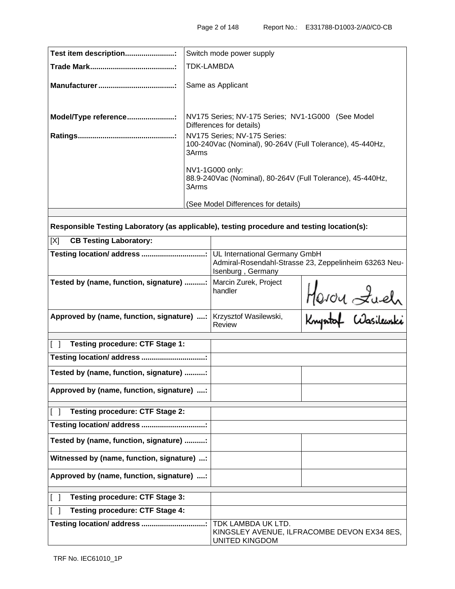| Test item description | Switch mode power supply                                                                           |
|-----------------------|----------------------------------------------------------------------------------------------------|
|                       | <b>TDK-LAMBDA</b>                                                                                  |
|                       | Same as Applicant                                                                                  |
| Model/Type reference: | NV175 Series; NV-175 Series; NV1-1G000 (See Model<br>Differences for details)                      |
|                       | NV175 Series; NV-175 Series:<br>100-240Vac (Nominal), 90-264V (Full Tolerance), 45-440Hz,<br>3Arms |
|                       | NV1-1G000 only:<br>88.9-240Vac (Nominal), 80-264V (Full Tolerance), 45-440Hz,<br>3Arms             |
|                       | (See Model Differences for details)                                                                |
|                       |                                                                                                    |

**Responsible Testing Laboratory (as applicable), testing procedure and testing location(s):**

| <b>CB Testing Laboratory:</b><br>[X]       |                                                                                            |                                 |  |
|--------------------------------------------|--------------------------------------------------------------------------------------------|---------------------------------|--|
|                                            | Admiral-Rosendahl-Strasse 23, Zeppelinheim 63263 Neu-<br>Isenburg, Germany                 |                                 |  |
| Tested by (name, function, signature) :    | Marcin Zurek, Project<br>handler                                                           | Heron Luch<br>Knyntal Wasikuski |  |
| Approved by (name, function, signature) :  | Krzysztof Wasilewski,<br>Review                                                            |                                 |  |
| <b>Testing procedure: CTF Stage 1:</b>     |                                                                                            |                                 |  |
| Testing location/address                   |                                                                                            |                                 |  |
| Tested by (name, function, signature) :    |                                                                                            |                                 |  |
| Approved by (name, function, signature) :  |                                                                                            |                                 |  |
| <b>Testing procedure: CTF Stage 2:</b>     |                                                                                            |                                 |  |
| Testing location/ address                  |                                                                                            |                                 |  |
| Tested by (name, function, signature) :    |                                                                                            |                                 |  |
| Witnessed by (name, function, signature) : |                                                                                            |                                 |  |
| Approved by (name, function, signature) :  |                                                                                            |                                 |  |
| <b>Testing procedure: CTF Stage 3:</b>     |                                                                                            |                                 |  |
| <b>Testing procedure: CTF Stage 4:</b>     |                                                                                            |                                 |  |
|                                            | TDK LAMBDA UK LTD.<br>KINGSLEY AVENUE, ILFRACOMBE DEVON EX34 8ES,<br><b>UNITED KINGDOM</b> |                                 |  |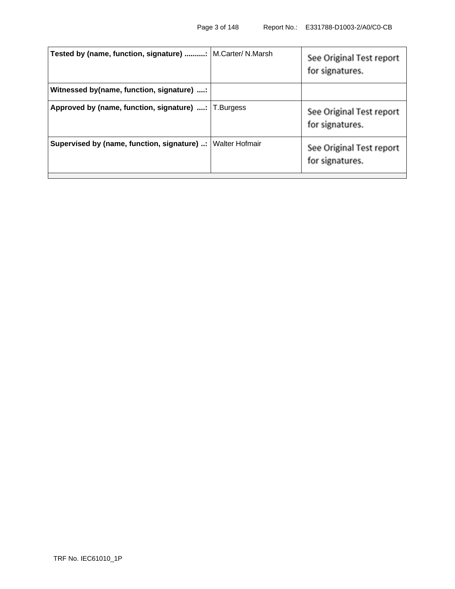| <b>Tested by (name, function, signature) :   M.Carter/ N.Marsh</b> |                | See Original Test report<br>for signatures. |
|--------------------------------------------------------------------|----------------|---------------------------------------------|
| Witnessed by(name, function, signature) :                          |                |                                             |
| Approved by (name, function, signature) :   T.Burgess              |                | See Original Test report<br>for signatures. |
| Supervised by (name, function, signature) :                        | Walter Hofmair | See Original Test report<br>for signatures. |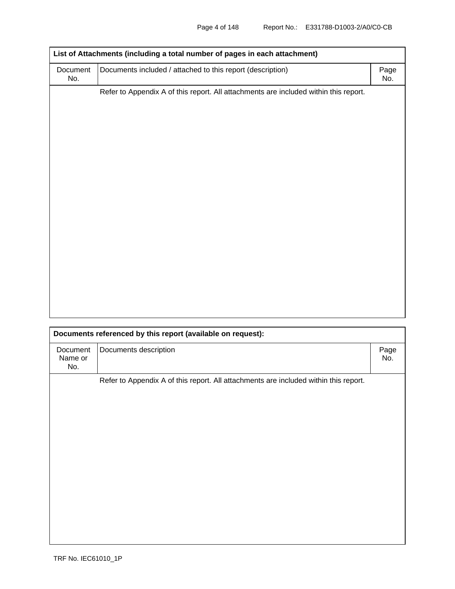| Document<br>No. | Documents included / attached to this report (description)                           | Page<br>No. |
|-----------------|--------------------------------------------------------------------------------------|-------------|
|                 | Refer to Appendix A of this report. All attachments are included within this report. |             |
|                 |                                                                                      |             |
|                 |                                                                                      |             |
|                 |                                                                                      |             |
|                 |                                                                                      |             |
|                 |                                                                                      |             |
|                 |                                                                                      |             |
|                 |                                                                                      |             |
|                 |                                                                                      |             |
|                 |                                                                                      |             |
|                 |                                                                                      |             |
|                 |                                                                                      |             |
|                 |                                                                                      |             |
|                 |                                                                                      |             |
|                 |                                                                                      |             |
|                 |                                                                                      |             |
|                 |                                                                                      |             |
|                 |                                                                                      |             |
|                 |                                                                                      |             |

|                            | Documents referenced by this report (available on request):                          |             |
|----------------------------|--------------------------------------------------------------------------------------|-------------|
| Document<br>Name or<br>No. | Documents description                                                                | Page<br>No. |
|                            | Refer to Appendix A of this report. All attachments are included within this report. |             |
|                            |                                                                                      |             |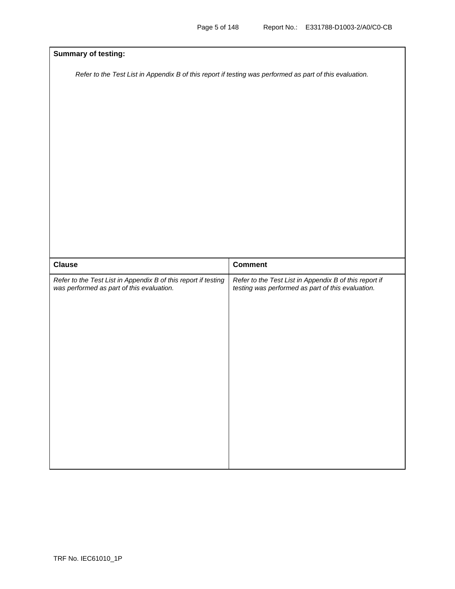| <b>Summary of testing:</b>                                                                                  |                                                                                                             |  |
|-------------------------------------------------------------------------------------------------------------|-------------------------------------------------------------------------------------------------------------|--|
| Refer to the Test List in Appendix B of this report if testing was performed as part of this evaluation.    |                                                                                                             |  |
|                                                                                                             |                                                                                                             |  |
|                                                                                                             |                                                                                                             |  |
|                                                                                                             |                                                                                                             |  |
|                                                                                                             |                                                                                                             |  |
|                                                                                                             |                                                                                                             |  |
|                                                                                                             |                                                                                                             |  |
| <b>Clause</b>                                                                                               | <b>Comment</b>                                                                                              |  |
| Refer to the Test List in Appendix B of this report if testing<br>was performed as part of this evaluation. | Refer to the Test List in Appendix B of this report if<br>testing was performed as part of this evaluation. |  |
|                                                                                                             |                                                                                                             |  |
|                                                                                                             |                                                                                                             |  |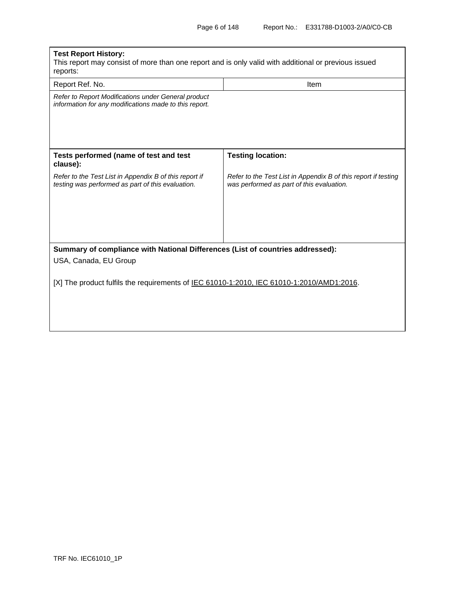| <b>Test Report History:</b><br>This report may consist of more than one report and is only valid with additional or previous issued<br>reports: |                                                                                                             |  |  |  |
|-------------------------------------------------------------------------------------------------------------------------------------------------|-------------------------------------------------------------------------------------------------------------|--|--|--|
| Report Ref. No.                                                                                                                                 | <b>Item</b>                                                                                                 |  |  |  |
| Refer to Report Modifications under General product<br>information for any modifications made to this report.                                   |                                                                                                             |  |  |  |
| Tests performed (name of test and test<br>clause):                                                                                              | <b>Testing location:</b>                                                                                    |  |  |  |
| Refer to the Test List in Appendix B of this report if<br>testing was performed as part of this evaluation.                                     | Refer to the Test List in Appendix B of this report if testing<br>was performed as part of this evaluation. |  |  |  |
| Summary of compliance with National Differences (List of countries addressed):<br>USA, Canada, EU Group                                         |                                                                                                             |  |  |  |
| [X] The product fulfils the requirements of IEC 61010-1:2010, IEC 61010-1:2010/AMD1:2016.                                                       |                                                                                                             |  |  |  |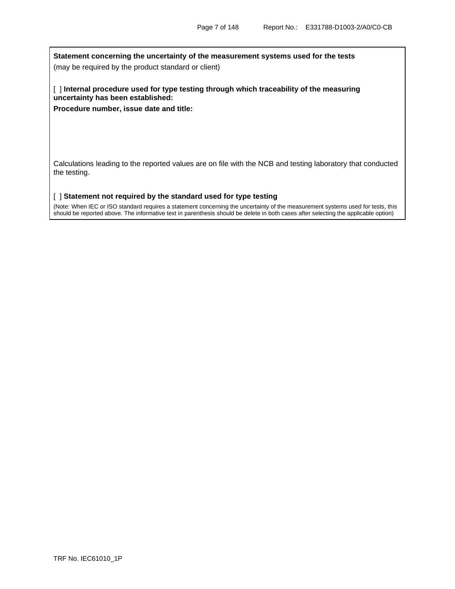**Statement concerning the uncertainty of the measurement systems used for the tests** 

(may be required by the product standard or client)

[ ] **Internal procedure used for type testing through which traceability of the measuring uncertainty has been established:**

**Procedure number, issue date and title:**

Calculations leading to the reported values are on file with the NCB and testing laboratory that conducted the testing.

[ ] **Statement not required by the standard used for type testing** 

(Note: When IEC or ISO standard requires a statement concerning the uncertainty of the measurement systems used for tests, this should be reported above. The informative text in parenthesis should be delete in both cases after selecting the applicable option)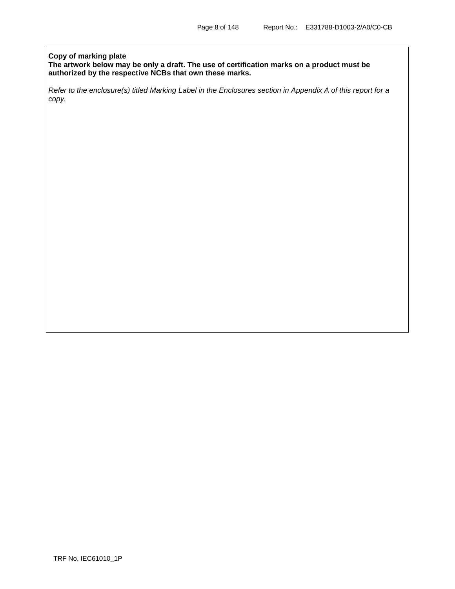## **Copy of marking plate**

**The artwork below may be only a draft. The use of certification marks on a product must be authorized by the respective NCBs that own these marks.**

*Refer to the enclosure(s) titled Marking Label in the Enclosures section in Appendix A of this report for a copy.*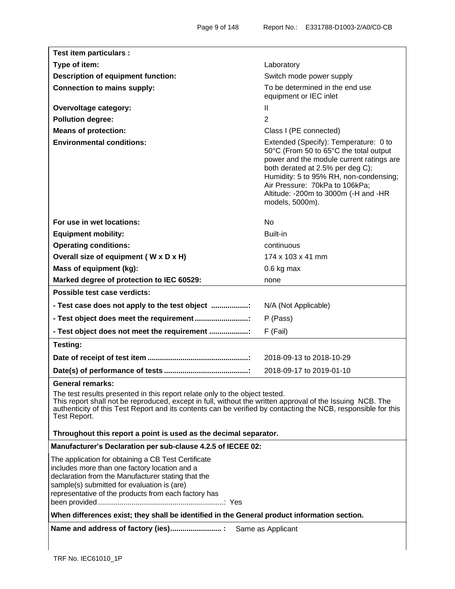| Test item particulars :                                                                                                                                                                                                                                                                                                                       |                                                                                                                                                                                                                                                                                                        |  |
|-----------------------------------------------------------------------------------------------------------------------------------------------------------------------------------------------------------------------------------------------------------------------------------------------------------------------------------------------|--------------------------------------------------------------------------------------------------------------------------------------------------------------------------------------------------------------------------------------------------------------------------------------------------------|--|
| Type of item:                                                                                                                                                                                                                                                                                                                                 | Laboratory                                                                                                                                                                                                                                                                                             |  |
| <b>Description of equipment function:</b>                                                                                                                                                                                                                                                                                                     | Switch mode power supply                                                                                                                                                                                                                                                                               |  |
| <b>Connection to mains supply:</b>                                                                                                                                                                                                                                                                                                            | To be determined in the end use<br>equipment or IEC inlet                                                                                                                                                                                                                                              |  |
| <b>Overvoltage category:</b>                                                                                                                                                                                                                                                                                                                  | Ш                                                                                                                                                                                                                                                                                                      |  |
| <b>Pollution degree:</b>                                                                                                                                                                                                                                                                                                                      | $\overline{2}$                                                                                                                                                                                                                                                                                         |  |
| <b>Means of protection:</b>                                                                                                                                                                                                                                                                                                                   | Class I (PE connected)                                                                                                                                                                                                                                                                                 |  |
| <b>Environmental conditions:</b>                                                                                                                                                                                                                                                                                                              | Extended (Specify): Temperature: 0 to<br>50°C (From 50 to 65°C the total output<br>power and the module current ratings are<br>both derated at 2.5% per deg C);<br>Humidity: 5 to 95% RH, non-condensing;<br>Air Pressure: 70kPa to 106kPa;<br>Altitude: -200m to 3000m (-H and -HR<br>models, 5000m). |  |
| For use in wet locations:                                                                                                                                                                                                                                                                                                                     | <b>No</b>                                                                                                                                                                                                                                                                                              |  |
| <b>Equipment mobility:</b>                                                                                                                                                                                                                                                                                                                    | Built-in                                                                                                                                                                                                                                                                                               |  |
| <b>Operating conditions:</b>                                                                                                                                                                                                                                                                                                                  | continuous                                                                                                                                                                                                                                                                                             |  |
| Overall size of equipment (W x D x H)                                                                                                                                                                                                                                                                                                         | 174 x 103 x 41 mm                                                                                                                                                                                                                                                                                      |  |
| Mass of equipment (kg):                                                                                                                                                                                                                                                                                                                       | 0.6 kg max                                                                                                                                                                                                                                                                                             |  |
| Marked degree of protection to IEC 60529:                                                                                                                                                                                                                                                                                                     | none                                                                                                                                                                                                                                                                                                   |  |
| Possible test case verdicts:                                                                                                                                                                                                                                                                                                                  |                                                                                                                                                                                                                                                                                                        |  |
| - Test case does not apply to the test object :                                                                                                                                                                                                                                                                                               | N/A (Not Applicable)                                                                                                                                                                                                                                                                                   |  |
| - Test object does meet the requirement                                                                                                                                                                                                                                                                                                       | P (Pass)                                                                                                                                                                                                                                                                                               |  |
| - Test object does not meet the requirement :                                                                                                                                                                                                                                                                                                 | F (Fail)                                                                                                                                                                                                                                                                                               |  |
| <b>Testing:</b>                                                                                                                                                                                                                                                                                                                               |                                                                                                                                                                                                                                                                                                        |  |
|                                                                                                                                                                                                                                                                                                                                               | 2018-09-13 to 2018-10-29                                                                                                                                                                                                                                                                               |  |
|                                                                                                                                                                                                                                                                                                                                               | 2018-09-17 to 2019-01-10                                                                                                                                                                                                                                                                               |  |
| General remarks:<br>The test results presented in this report relate only to the object tested.<br>This report shall not be reproduced, except in full, without the written approval of the Issuing NCB. The<br>authenticity of this Test Report and its contents can be verified by contacting the NCB, responsible for this<br>Test Report. |                                                                                                                                                                                                                                                                                                        |  |
| Throughout this report a point is used as the decimal separator.                                                                                                                                                                                                                                                                              |                                                                                                                                                                                                                                                                                                        |  |
| Manufacturer's Declaration per sub-clause 4.2.5 of IECEE 02:                                                                                                                                                                                                                                                                                  |                                                                                                                                                                                                                                                                                                        |  |
| The application for obtaining a CB Test Certificate<br>includes more than one factory location and a<br>declaration from the Manufacturer stating that the<br>sample(s) submitted for evaluation is (are)<br>representative of the products from each factory has                                                                             |                                                                                                                                                                                                                                                                                                        |  |
| When differences exist; they shall be identified in the General product information section.                                                                                                                                                                                                                                                  |                                                                                                                                                                                                                                                                                                        |  |
|                                                                                                                                                                                                                                                                                                                                               |                                                                                                                                                                                                                                                                                                        |  |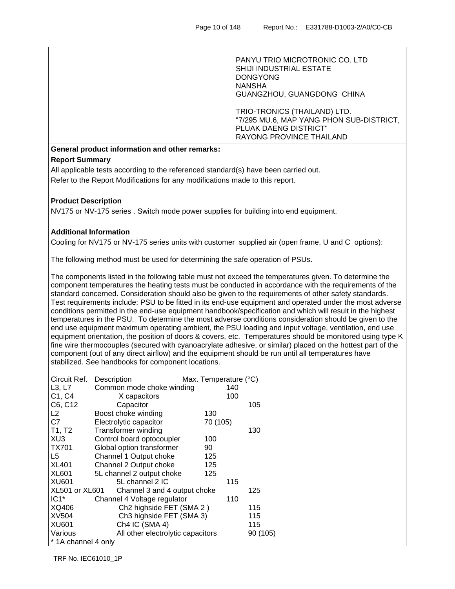PANYU TRIO MICROTRONIC CO. LTD SHIJI INDUSTRIAL ESTATE DONGYONG NANSHA GUANGZHOU, GUANGDONG CHINA

TRIO-TRONICS (THAILAND) LTD. "7/295 MU.6, MAP YANG PHON SUB-DISTRICT, PLUAK DAENG DISTRICT" RAYONG PROVINCE THAILAND

# **General product information and other remarks:**

## **Report Summary**

All applicable tests according to the referenced standard(s) have been carried out. Refer to the Report Modifications for any modifications made to this report.

## **Product Description**

NV175 or NV-175 series . Switch mode power supplies for building into end equipment.

## **Additional Information**

Cooling for NV175 or NV-175 series units with customer supplied air (open frame, U and C options):

The following method must be used for determining the safe operation of PSUs.

The components listed in the following table must not exceed the temperatures given. To determine the component temperatures the heating tests must be conducted in accordance with the requirements of the standard concerned. Consideration should also be given to the requirements of other safety standards. Test requirements include: PSU to be fitted in its end-use equipment and operated under the most adverse conditions permitted in the end-use equipment handbook/specification and which will result in the highest temperatures in the PSU. To determine the most adverse conditions consideration should be given to the end use equipment maximum operating ambient, the PSU loading and input voltage, ventilation, end use equipment orientation, the position of doors & covers, etc. Temperatures should be monitored using type K fine wire thermocouples (secured with cyanoacrylate adhesive, or similar) placed on the hottest part of the component (out of any direct airflow) and the equipment should be run until all temperatures have stabilized. See handbooks for component locations.

| Circuit Ref.          | Description                          | Max. Temperature (°C) |          |
|-----------------------|--------------------------------------|-----------------------|----------|
| L3, L7                | Common mode choke winding            | 140                   |          |
| C1, C4                | X capacitors                         | 100                   |          |
| C6, C12               | Capacitor                            |                       | 105      |
| L <sub>2</sub>        | Boost choke winding                  | 130                   |          |
| C7                    | Electrolytic capacitor               | 70 (105)              |          |
| T1, T2                | <b>Transformer winding</b>           |                       | 130      |
| XU3                   | Control board optocoupler            | 100                   |          |
| <b>TX701</b>          | Global option transformer            | 90                    |          |
| L5                    | Channel 1 Output choke               | 125                   |          |
| <b>XL401</b>          | Channel 2 Output choke               | 125                   |          |
| <b>XL601</b>          | 5L channel 2 output choke            | 125                   |          |
| <b>XU601</b>          | 5L channel 2 IC                      | 115                   |          |
| <b>XL501 or XL601</b> | Channel 3 and 4 output choke         |                       | 125      |
| $IC1*$                | Channel 4 Voltage regulator          | 110                   |          |
| XQ406                 | Ch <sub>2</sub> highside FET (SMA 2) |                       | 115      |
| XV504                 | Ch3 highside FET (SMA 3)             |                       | 115      |
| <b>XU601</b>          | Ch4 IC (SMA 4)                       |                       | 115      |
| Various               | All other electrolytic capacitors    |                       | 90 (105) |
| * 1A channel 4 only   |                                      |                       |          |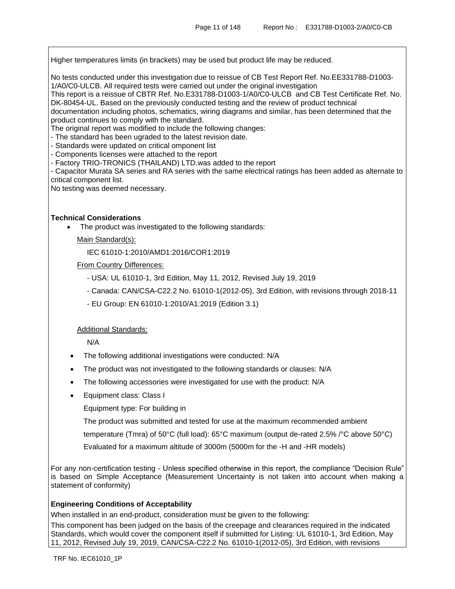Higher temperatures limits (in brackets) may be used but product life may be reduced.

No tests conducted under this investigation due to reissue of CB Test Report Ref. No.EE331788-D1003- 1/A0/C0-ULCB. All required tests were carried out under the original investigation

This report is a reissue of CBTR Ref. No.E331788-D1003-1/A0/C0-ULCB and CB Test Certificate Ref. No. DK-80454-UL. Based on the previously conducted testing and the review of product technical

documentation including photos, schematics, wiring diagrams and similar, has been determined that the product continues to comply with the standard.

The original report was modified to include the following changes:

- The standard has been ugraded to the latest revision date.

- Standards were updated on critical omponent list

- Components licenses were attached to the report

- Factory TRIO-TRONICS (THAILAND) LTD.was added to the report

- Capacitor Murata SA series and RA series with the same electrical ratings has been added as alternate to critical component list.

No testing was deemed necessary.

#### **Technical Considerations**

• The product was investigated to the following standards:

Main Standard(s):

IEC 61010-1:2010/AMD1:2016/COR1:2019

From Country Differences:

- USA: UL 61010-1, 3rd Edition, May 11, 2012, Revised July 19, 2019

- Canada: CAN/CSA-C22.2 No. 61010-1(2012-05), 3rd Edition, with revisions through 2018-11
- EU Group: EN 61010-1:2010/A1:2019 (Edition 3.1)

#### Additional Standards:

N/A

- The following additional investigations were conducted: N/A
- The product was not investigated to the following standards or clauses: N/A
- The following accessories were investigated for use with the product: N/A
- Equipment class: Class I

Equipment type: For building in

The product was submitted and tested for use at the maximum recommended ambient

temperature (Tmra) of 50°C (full load): 65°C maximum (output de-rated 2.5% /°C above 50°C)

Evaluated for a maximum altitude of 3000m (5000m for the -H and -HR models)

For any non-certification testing - Unless specified otherwise in this report, the compliance "Decision Rule" is based on Simple Acceptance (Measurement Uncertainty is not taken into account when making a statement of conformity)

#### **Engineering Conditions of Acceptability**

When installed in an end-product, consideration must be given to the following:

This component has been judged on the basis of the creepage and clearances required in the indicated Standards, which would cover the component itself if submitted for Listing: UL 61010-1, 3rd Edition, May 11, 2012, Revised July 19, 2019, CAN/CSA-C22.2 No. 61010-1(2012-05), 3rd Edition, with revisions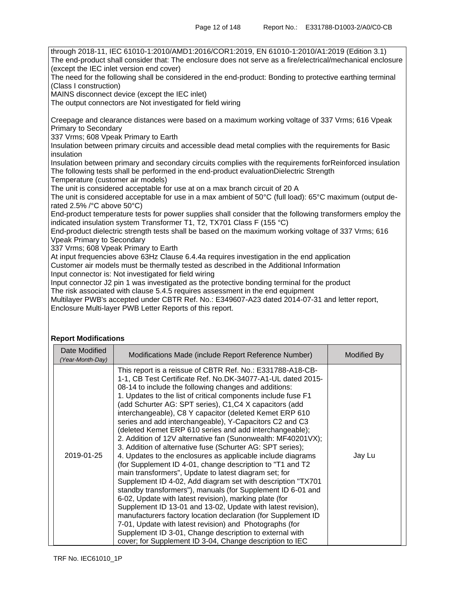through 2018-11, IEC 61010-1:2010/AMD1:2016/COR1:2019, EN 61010-1:2010/A1:2019 (Edition 3.1) The end-product shall consider that: The enclosure does not serve as a fire/electrical/mechanical enclosure (except the IEC inlet version end cover) The need for the following shall be considered in the end-product: Bonding to protective earthing terminal (Class I construction) MAINS disconnect device (except the IEC inlet) The output connectors are Not investigated for field wiring Creepage and clearance distances were based on a maximum working voltage of 337 Vrms; 616 Vpeak Primary to Secondary 337 Vrms; 608 Vpeak Primary to Earth Insulation between primary circuits and accessible dead metal complies with the requirements for Basic insulation Insulation between primary and secondary circuits complies with the requirements forReinforced insulation The following tests shall be performed in the end-product evaluationDielectric Strength Temperature (customer air models) The unit is considered acceptable for use at on a max branch circuit of 20 A The unit is considered acceptable for use in a max ambient of 50°C (full load): 65°C maximum (output derated 2.5% /°C above 50°C) End-product temperature tests for power supplies shall consider that the following transformers employ the indicated insulation system Transformer T1, T2, TX701 Class F (155 °C) End-product dielectric strength tests shall be based on the maximum working voltage of 337 Vrms; 616 Vpeak Primary to Secondary 337 Vrms; 608 Vpeak Primary to Earth At input frequencies above 63Hz Clause 6.4.4a requires investigation in the end application Customer air models must be thermally tested as described in the Additional Information Input connector is: Not investigated for field wiring Input connector J2 pin 1 was investigated as the protective bonding terminal for the product The risk associated with clause 5.4.5 requires assessment in the end equipment Multilayer PWB's accepted under CBTR Ref. No.: E349607-A23 dated 2014-07-31 and letter report, Enclosure Multi-layer PWB Letter Reports of this report.

#### **Report Modifications**

| Date Modified<br>(Year-Month-Day) | Modifications Made (include Report Reference Number)                                                                                                                                                                                                                                                                                                                                                                                                                                                                                                                                                                                                                                                                                                                                                                                                                                                                                                                                                                                                                                                                                                                                                                                                                                                                          | Modified By |
|-----------------------------------|-------------------------------------------------------------------------------------------------------------------------------------------------------------------------------------------------------------------------------------------------------------------------------------------------------------------------------------------------------------------------------------------------------------------------------------------------------------------------------------------------------------------------------------------------------------------------------------------------------------------------------------------------------------------------------------------------------------------------------------------------------------------------------------------------------------------------------------------------------------------------------------------------------------------------------------------------------------------------------------------------------------------------------------------------------------------------------------------------------------------------------------------------------------------------------------------------------------------------------------------------------------------------------------------------------------------------------|-------------|
| 2019-01-25                        | This report is a reissue of CBTR Ref. No.: E331788-A18-CB-<br>1-1, CB Test Certificate Ref. No.DK-34077-A1-UL dated 2015-<br>08-14 to include the following changes and additions:<br>1. Updates to the list of critical components include fuse F1<br>(add Schurter AG: SPT series), C1, C4 X capacitors (add<br>interchangeable), C8 Y capacitor (deleted Kemet ERP 610<br>series and add interchangeable), Y-Capacitors C2 and C3<br>(deleted Kemet ERP 610 series and add interchangeable);<br>2. Addition of 12V alternative fan (Sunonwealth: MF40201VX);<br>3. Addition of alternative fuse (Schurter AG: SPT series);<br>4. Updates to the enclosures as applicable include diagrams<br>(for Supplement ID 4-01, change description to "T1 and T2<br>main transformers", Update to latest diagram set; for<br>Supplement ID 4-02, Add diagram set with description "TX701<br>standby transformers"), manuals (for Supplement ID 6-01 and<br>6-02, Update with latest revision), marking plate (for<br>Supplement ID 13-01 and 13-02, Update with latest revision),<br>manufacturers factory location declaration (for Supplement ID<br>7-01, Update with latest revision) and Photographs (for<br>Supplement ID 3-01, Change description to external with<br>cover; for Supplement ID 3-04, Change description to IEC | Jay Lu      |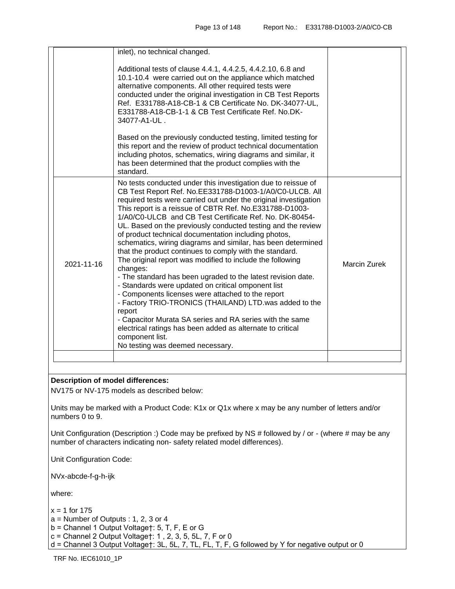|            | inlet), no technical changed.                                                                                                                                                                                                                                                                                                                                                                                                                                                                                                                                                                                                                                                                                                                                                                                                                                                                                                                                                                                                                                                  |                     |
|------------|--------------------------------------------------------------------------------------------------------------------------------------------------------------------------------------------------------------------------------------------------------------------------------------------------------------------------------------------------------------------------------------------------------------------------------------------------------------------------------------------------------------------------------------------------------------------------------------------------------------------------------------------------------------------------------------------------------------------------------------------------------------------------------------------------------------------------------------------------------------------------------------------------------------------------------------------------------------------------------------------------------------------------------------------------------------------------------|---------------------|
|            | Additional tests of clause 4.4.1, 4.4.2.5, 4.4.2.10, 6.8 and<br>10.1-10.4 were carried out on the appliance which matched<br>alternative components. All other required tests were<br>conducted under the original investigation in CB Test Reports<br>Ref. E331788-A18-CB-1 & CB Certificate No. DK-34077-UL,<br>E331788-A18-CB-1-1 & CB Test Certificate Ref. No.DK-<br>34077-A1-UL.                                                                                                                                                                                                                                                                                                                                                                                                                                                                                                                                                                                                                                                                                         |                     |
|            | Based on the previously conducted testing, limited testing for<br>this report and the review of product technical documentation<br>including photos, schematics, wiring diagrams and similar, it<br>has been determined that the product complies with the<br>standard.                                                                                                                                                                                                                                                                                                                                                                                                                                                                                                                                                                                                                                                                                                                                                                                                        |                     |
| 2021-11-16 | No tests conducted under this investigation due to reissue of<br>CB Test Report Ref. No.EE331788-D1003-1/A0/C0-ULCB. All<br>required tests were carried out under the original investigation<br>This report is a reissue of CBTR Ref. No.E331788-D1003-<br>1/A0/C0-ULCB and CB Test Certificate Ref. No. DK-80454-<br>UL. Based on the previously conducted testing and the review<br>of product technical documentation including photos,<br>schematics, wiring diagrams and similar, has been determined<br>that the product continues to comply with the standard.<br>The original report was modified to include the following<br>changes:<br>- The standard has been ugraded to the latest revision date.<br>- Standards were updated on critical omponent list<br>- Components licenses were attached to the report<br>- Factory TRIO-TRONICS (THAILAND) LTD.was added to the<br>report<br>- Capacitor Murata SA series and RA series with the same<br>electrical ratings has been added as alternate to critical<br>component list.<br>No testing was deemed necessary. | <b>Marcin Zurek</b> |
|            |                                                                                                                                                                                                                                                                                                                                                                                                                                                                                                                                                                                                                                                                                                                                                                                                                                                                                                                                                                                                                                                                                |                     |

## **Description of model differences:**

NV175 or NV-175 models as described below:

Units may be marked with a Product Code: K1x or Q1x where x may be any number of letters and/or numbers 0 to 9.

Unit Configuration (Description :) Code may be prefixed by NS # followed by / or - (where # may be any number of characters indicating non- safety related model differences).

Unit Configuration Code:

NVx-abcde-f-g-h-ijk

where:

 $x = 1$  for 175

 $a =$  Number of Outputs : 1, 2, 3 or 4

b = Channel 1 Output Voltage†: 5, T, F, E or G

c = Channel 2 Output Voltage†: 1 , 2, 3, 5, 5L, 7, F or 0

d = Channel 3 Output Voltage†: 3L, 5L, 7, TL, FL, T, F, G followed by Y for negative output or 0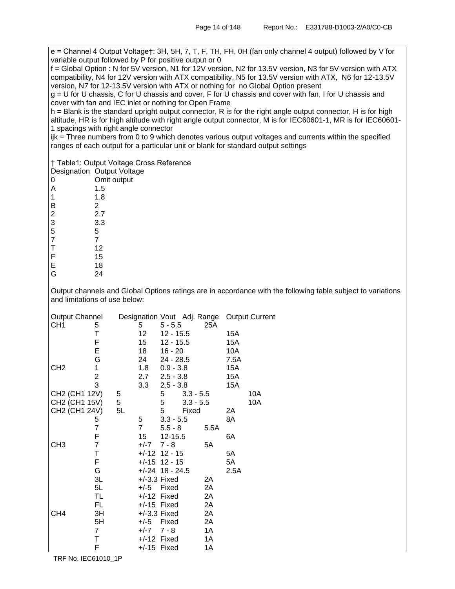e = Channel 4 Output Voltage†: 3H, 5H, 7, T, F, TH, FH, 0H (fan only channel 4 output) followed by V for variable output followed by P for positive output or 0

f = Global Option : N for 5V version, N1 for 12V version, N2 for 13.5V version, N3 for 5V version with ATX compatibility, N4 for 12V version with ATX compatibility, N5 for 13.5V version with ATX, N6 for 12-13.5V version, N7 for 12-13.5V version with ATX or nothing for no Global Option present

g = U for U chassis, C for U chassis and cover, F for U chassis and cover with fan, I for U chassis and cover with fan and IEC inlet or nothing for Open Frame

h = Blank is the standard upright output connector, R is for the right angle output connector, H is for high altitude, HR is for high altitude with right angle output connector, M is for IEC60601-1, MR is for IEC60601- 1 spacings with right angle connector

ijk = Three numbers from 0 to 9 which denotes various output voltages and currents within the specified ranges of each output for a particular unit or blank for standard output settings

† Table1: Output Voltage Cross Reference

Voltage

|                | Designation Output Volta |
|----------------|--------------------------|
| 0              | Omit output              |
| Α              | 1.5                      |
| 1              | 1.8                      |
| B              | 2                        |
| $\frac{2}{3}$  | 2.7                      |
|                | 3.3                      |
| 5              | 5                        |
| $\overline{7}$ | 7                        |
| T              | 12                       |
| F              | 15                       |
| E              | 18                       |
| G              | 24                       |

Output channels and Global Options ratings are in accordance with the following table subject to variations and limitations of use below:

| <b>Output Channel</b> |                |    |                   |             |             |      |      | Designation Vout Adj. Range Output Current |
|-----------------------|----------------|----|-------------------|-------------|-------------|------|------|--------------------------------------------|
| CH <sub>1</sub>       | 5              |    | 5.                | $5 - 5.5$   |             | 25A  |      |                                            |
|                       | Т              |    | 12                | $12 - 15.5$ |             |      | 15A  |                                            |
|                       | F              |    | 15                | $12 - 15.5$ |             |      | 15A  |                                            |
|                       | Е              |    | 18                | $16 - 20$   |             |      | 10A  |                                            |
|                       | G              |    | 24                | $24 - 28.5$ |             |      | 7.5A |                                            |
| CH <sub>2</sub>       | 1              |    | 1.8               | $0.9 - 3.8$ |             |      | 15A  |                                            |
|                       | $\frac{2}{3}$  |    | 2.7               | $2.5 - 3.8$ |             |      | 15A  |                                            |
|                       |                |    | 3.3               | $2.5 - 3.8$ |             |      | 15A  |                                            |
| CH2 (CH1 12V)         |                | 5  |                   | 5           | $3.3 - 5.5$ |      |      | 10A                                        |
| CH2 (CH1 15V)         |                | 5  |                   | 5           | $3.3 - 5.5$ |      |      | 10A                                        |
| CH2 (CH1 24V)         |                | 5L |                   | 5           | Fixed       |      | 2Α   |                                            |
|                       | 5              |    | 5                 | $3.3 - 5.5$ |             |      | 8A   |                                            |
|                       | $\overline{7}$ |    | $\overline{7}$    | $5.5 - 8$   |             | 5.5A |      |                                            |
|                       | F              |    | 15                | 12-15.5     |             |      | 6A   |                                            |
| CH <sub>3</sub>       | $\overline{7}$ |    | +/-7              | $7 - 8$     |             | 5A   |      |                                            |
|                       | T              |    | $+/-12$ 12 - 15   |             |             |      | 5A   |                                            |
|                       | F              |    | $+/-15$ 12 - 15   |             |             |      | 5A   |                                            |
|                       | G              |    | $+/-24$ 18 - 24.5 |             |             |      | 2.5A |                                            |
|                       | 3L             |    | $+/-3.3$ Fixed    |             |             | 2A   |      |                                            |
|                       | 5L             |    | +/-5 Fixed        |             |             | 2A   |      |                                            |
|                       | TL             |    | $+/-12$ Fixed     |             |             | 2A   |      |                                            |
|                       | FL             |    | $+/-15$ Fixed     |             |             | 2A   |      |                                            |
| CH <sub>4</sub>       | 3H             |    | $+/-3.3$ Fixed    |             |             | 2A   |      |                                            |
|                       | 5H             |    | +/-5              | Fixed       |             | 2A   |      |                                            |
|                       | $\overline{7}$ |    | $+/-7$            | $7 - 8$     |             | 1A   |      |                                            |
|                       | Τ              |    | $+/-12$ Fixed     |             |             | 1Α   |      |                                            |
|                       | F              |    | $+/-15$ Fixed     |             |             | 1Α   |      |                                            |

TRF No. IEC61010\_1P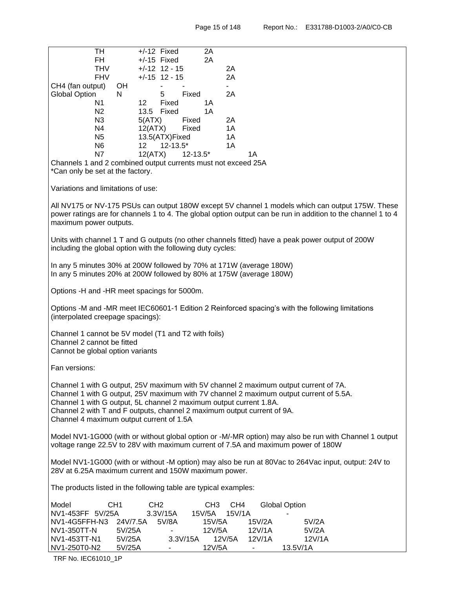| $+/-12$ Fixed<br>2A<br>TH                                                                        |                                                                                                              |
|--------------------------------------------------------------------------------------------------|--------------------------------------------------------------------------------------------------------------|
| FH.<br>2A<br>$+/-15$ Fixed                                                                       |                                                                                                              |
| $+/-12$ 12 - 15<br><b>THV</b>                                                                    | 2A                                                                                                           |
| <b>FHV</b><br>$+/-15$ 12 - 15                                                                    | 2A                                                                                                           |
| CH4 (fan output)<br>OH<br>$\blacksquare$                                                         |                                                                                                              |
| <b>Global Option</b><br>N<br>5<br>Fixed                                                          | 2A                                                                                                           |
| N1<br>12 <sup>°</sup><br>Fixed<br>1A                                                             |                                                                                                              |
| N2<br>13.5<br>Fixed<br>1A                                                                        |                                                                                                              |
| N3<br>5(ATX)<br>Fixed                                                                            | 2A                                                                                                           |
| N4<br>12(ATX)<br>Fixed                                                                           | 1A                                                                                                           |
| 13.5(ATX)Fixed<br>N <sub>5</sub>                                                                 | 1A                                                                                                           |
| $12 - 13.5*$<br>N <sub>6</sub><br>12                                                             | 1A                                                                                                           |
| N7<br>12(ATX)<br>$12 - 13.5^*$                                                                   | 1A                                                                                                           |
| Channels 1 and 2 combined output currents must not exceed 25A                                    |                                                                                                              |
| *Can only be set at the factory.                                                                 |                                                                                                              |
|                                                                                                  |                                                                                                              |
| Variations and limitations of use:                                                               |                                                                                                              |
|                                                                                                  | All NV175 or NV-175 PSUs can output 180W except 5V channel 1 models which can output 175W. These             |
|                                                                                                  | power ratings are for channels 1 to 4. The global option output can be run in addition to the channel 1 to 4 |
| maximum power outputs.                                                                           |                                                                                                              |
|                                                                                                  |                                                                                                              |
| Units with channel 1 T and G outputs (no other channels fitted) have a peak power output of 200W |                                                                                                              |
| including the global option with the following duty cycles:                                      |                                                                                                              |
|                                                                                                  |                                                                                                              |
| In any 5 minutes 30% at 200W followed by 70% at 171W (average 180W)                              |                                                                                                              |
| In any 5 minutes 20% at 200W followed by 80% at 175W (average 180W)                              |                                                                                                              |
|                                                                                                  |                                                                                                              |
| Options -H and -HR meet spacings for 5000m.                                                      |                                                                                                              |
|                                                                                                  |                                                                                                              |
| Options -M and -MR meet IEC60601-1 Edition 2 Reinforced spacing's with the following limitations |                                                                                                              |
| (interpolated creepage spacings):                                                                |                                                                                                              |
|                                                                                                  |                                                                                                              |
| Channel 1 cannot be 5V model (T1 and T2 with foils)                                              |                                                                                                              |
| Channel 2 cannot be fitted                                                                       |                                                                                                              |
| Cannot be global option variants                                                                 |                                                                                                              |
|                                                                                                  |                                                                                                              |
| Fan versions:                                                                                    |                                                                                                              |
|                                                                                                  |                                                                                                              |
| Channel 1 with G output, 25V maximum with 5V channel 2 maximum output current of 7A.             |                                                                                                              |
| Channel 1 with G output, 25V maximum with 7V channel 2 maximum output current of 5.5A.           |                                                                                                              |
| Channel 1 with G output, 5L channel 2 maximum output current 1.8A.                               |                                                                                                              |
| Channel 2 with T and F outputs, channel 2 maximum output current of 9A.                          |                                                                                                              |
| Channel 4 maximum output current of 1.5A                                                         |                                                                                                              |
|                                                                                                  |                                                                                                              |
| voltage range 22.5V to 28V with maximum current of 7.5A and maximum power of 180W                | Model NV1-1G000 (with or without global option or -M/-MR option) may also be run with Channel 1 output       |
|                                                                                                  |                                                                                                              |
|                                                                                                  | Model NV1-1G000 (with or without -M option) may also be run at 80Vac to 264Vac input, output: 24V to         |
| 28V at 6.25A maximum current and 150W maximum power.                                             |                                                                                                              |
|                                                                                                  |                                                                                                              |
| The products listed in the following table are typical examples:                                 |                                                                                                              |
|                                                                                                  |                                                                                                              |
| Model<br>CH <sub>1</sub><br>CH <sub>2</sub><br>CH <sub>3</sub>                                   | CH <sub>4</sub><br><b>Global Option</b>                                                                      |
| NV1-453FF 5V/25A<br>3.3V/15A<br>15V/5A                                                           | 15V/1A                                                                                                       |
| NV1-4G5FFH-N3<br>15V/5A<br>24V/7.5A<br>5V/8A                                                     | 15V/2A<br>5V/2A                                                                                              |
| NV1-350TT-N<br>5V/25A<br>12V/5A                                                                  | 12V/1A<br>5V/2A                                                                                              |
| NV1-453TT-N1<br>5V/25A<br>3.3V/15A                                                               | 12V/1A<br>12V/5A<br>12V/1A                                                                                   |
| NV1-250T0-N2<br>5V/25A<br>12V/5A                                                                 | 13.5V/1A                                                                                                     |